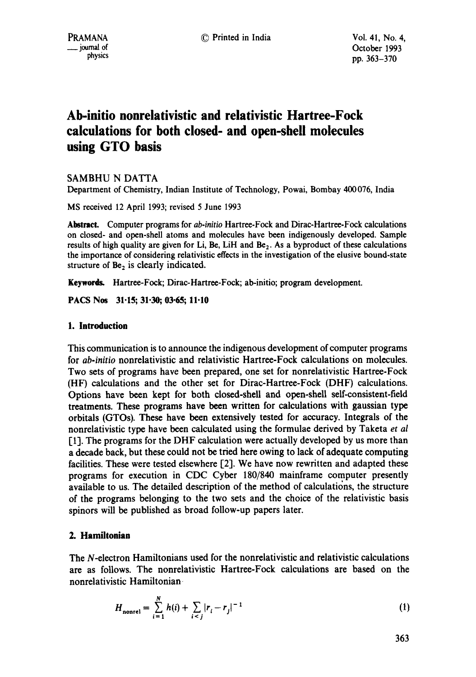# **Ab-initio nonrelativistic and relativistic Hartree-Fock calculations for both closed- and open-shell molecules using GTO basis**

SAMBHU N DATTA

Department of Chemistry, Indian Institute of Technology, Powai, Bombay 400076, India

MS received 12 April 1993; revised 5 June 1993

Abstract. Computer programs for *ab-initio* Hartree-Fock and Dirac-Hartree-Fock calculations on dosed- and open-shell atoms and molecules have been indigenously developed. Sample results of high quality are given for Li, Be, LiH and  $Be<sub>2</sub>$ . As a byproduct of these calculations the importance of considering relativistic effects in the investigation of the elusive bound-state structure of  $Be<sub>2</sub>$  is clearly indicated.

**Keywords.** Hartree-Foek; Dirac-Hartree-Fock; ab-initio; program development.

**PACS Nos** 31-15; 31.30; 03.65; 11.10

## **1. Introduction**

This communication is to announce the indigenous development of computer programs for *ab-initio* nonrelativistic and relativistic Hartree-Fock calculations on molecules. Two sets of programs have been prepared, one set for nonrelativistic Hartree-Fock (HF) calculations and the other set for Dirac-Hartree-Fock (DHF) calculations. Options have been kept for both closed-shell and open-shell self-consistent-field treatments. These programs have been written for calculations with gaussian type orbitals (GTOs). These have been extensively tested for accuracy. Integrals of the nonrelativistic type have been calculated using the formulae derived by Taketa *et al*  [1]. The programs for the DHF calculation were actually developed by us more than a decade back, but these could not be tried here owing to lack of adequate computing facilities. These were tested elsewhere  $[2]$ . We have now rewritten and adapted these programs for execution in CDC Cyber 180/840 mainframe computer presently available to us. The detailed description of the method of calculations, the structure of the programs belonging to the two sets and the choice of the relativistic basis spinors will be published as broad follow-up papers later.

## **2. Hamiltonian**

The N-electron Hamiltonians used for the nonrelativistic and relativistic calculations are as follows. The nonrelativistic Hartree-Fock calculations are based on the nonrelativistic Hamiltonian

$$
H_{\text{nonrel}} = \sum_{i=1}^{N} h(i) + \sum_{i < j} |r_i - r_j|^{-1} \tag{1}
$$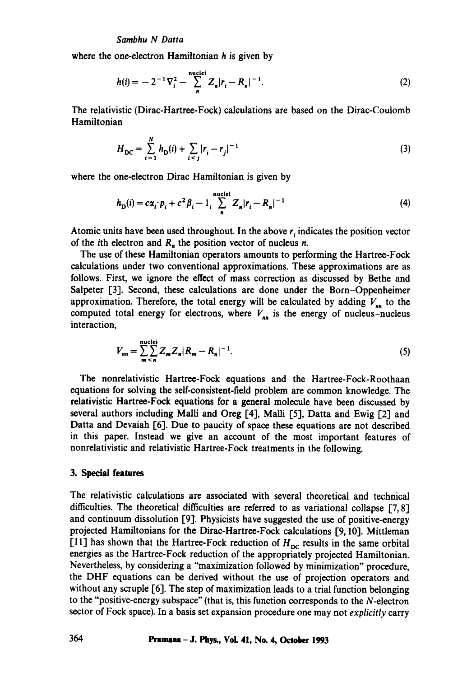where the one-electron Hamiltonian h is given by

$$
h(i) = -2^{-1}\nabla_i^2 - \sum_{n=1}^{\text{nuclei}} Z_n |r_i - R_n|^{-1}.
$$
 (2)

The relativistic (Dirac-Hartree-Fock) calculations are based on the Dirac-Coulomb Hamiltonian

$$
H_{\rm DC} = \sum_{i=1}^{N} h_{\rm D}(i) + \sum_{i < j} |r_i - r_j|^{-1} \tag{3}
$$

where the one-electron Dirac Hamiltonian is given by

$$
h_{\mathbf{D}}(i) = c\alpha_i \cdot p_i + c^2 \beta_i - 1 \sum_{n=1}^{\text{nuclei}} Z_n |r_i - R_n|^{-1}
$$
 (4)

Atomic units have been used throughout. In the above  $r_i$  indicates the position vector of the *i*th electron and  $R_n$ , the position vector of nucleus *n*.

The use of these Hamiltonian operators amounts to performing the Hartree-Fock calculations under two conventional approximations. These approximations are as follows. First, we ignore the effect of mass correction as discussed by Bethe and Salpeter [3]. Second, these calculations are done under the Born-Oppenheimer approximation. Therefore, the total energy will be calculated by adding  $V_{nn}$  to the computed total energy for electrons, where  $V_{nn}$  is the energy of nucleus-nucleus interaction,

$$
V_{nn} = \sum_{m \, \leq \, n}^{\text{nuclei}} Z_m Z_n |R_m - R_n|^{-1}.
$$
 (5)

The nonrelativistic Hartree-Fock equations and the Hartree-Fock-Roothaan equations for solving the self-consistent-field problem are common knowledge. The relativistic Hartree-Foek equations for a general molecule have been discussed by several authors including Malli and Oreg [4], Malli [5], Datta and Ewig [2] and Datta and Devaiah [6]. Due to paucity of space these equations are not described in this paper. Instead we give an account of the most important features of nonrelativistic and relativistic Hartree-Fock treatments in the following.

## **3. Special features**

The relativistic calculations are associated with several theoretical and technical difficulties. The theoretical difficulties are referred to as variational collapse  $[7, 8]$ and continuum dissolution [9]. Physicists have suggested the use of positive-energy projected Hamiltonians for the Dirac-Hartree-Fock calculations [9, 10]. Mittleman [11] has shown that the Hartree-Fock reduction of  $H_{\text{DC}}$  results in the same orbital energies as the Hartree-Fock reduction of the appropriately projected Hamiltonian. Nevertheless, by considering a "maximization followed by minimization" procedure, the DHF equations can be derived without the use of projection operators and without any scruple [6]. The step of maximization leads to a trial function belonging to the "positive-energy subspace" (that is, this function corresponds to the  $N$ -electron sector of Fock space). In a basis set expansion procedure one may not *explicitly* carry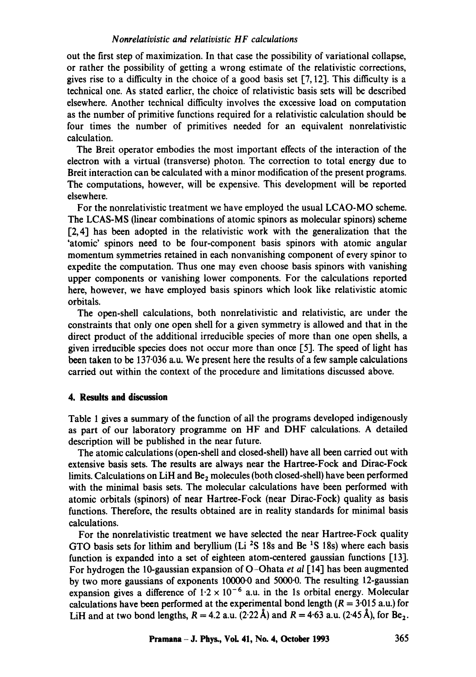#### *Nonrelativistic and relativistic HF calculations*

out the first step of maximization. In that case the possibility of variational collapse, or rather the possibility of getting a wrong estimate of the relativistic corrections, gives rise to a difficulty in the choice of a good basis set  $[7, 12]$ . This difficulty is a technical one. As stated earlier, the choice of relativistic basis sets will be described elsewhere. Another technical difficulty involves the excessive load on computation as the number of primitive functions required for a relativistic calculation should be four times the number of primitives needed for an equivalent nonrelativistic calculation.

The Breit operator embodies the most important effects of the interaction of the electron with a virtual (transverse) photon. The correction to total energy due to Breit interaction can be calculated with a minor modification of the present programs. The computations, however, will be expensive. This development will be reported elsewhere.

For the nonrelativistic treatment we have employed the usual LCAO-MO scheme. The LCAS-MS (linear combinations of atomic spinors as molecular spinors) scheme [2,4] has been adopted in the relativistic work with the generalization that the 'atomic' spinors need to be four-component basis spinors with atomic angular momentum symmetries retained in each nonvanishing component of every spinor to expedite the computation. Thus one may even choose basis spinors with vanishing upper components or vanishing lower components. For the calculations reported here, however, we have employed basis spinors which look like relativistic atomic orbitals.

The open-shell calculations, both nonrelativistic and relativistic, are under the constraints that only one open shell for a given symmetry is allowed and that in the direct product of the additional irreducible species of more than one open shells, a given irreducible species does not occur more than once [5]. The speed of light has been taken to be 137.036 a.u. We present here the results of a few sample calculations carried out within the context of the procedure and limitations discussed above.

#### **4. Results and discussion**

Table 1 gives a summary of the function of all the programs developed indigenously as part of our laboratory programme on HF and DHF calculations. A detailed description will be published in the near future.

The atomic calculations (open-shell and closed-shell) have all been carried out with extensive basis sets. The results are always near the Hartree-Fock and Dirae-Fock limits. Calculations on LiH and Be<sub>2</sub> molecules (both closed-shell) have been performed with the minimal basis sets. The molecular calculations have been performed with atomic orbitals (spinors) of near Hartree-Fock (near Dirac-Fock) quality as basis functions. Therefore, the results obtained are in reality standards for minimal basis calculations.

For the nonrelativistic treatment we have selected the near Hartree-Fock quality GTO basis sets for lithim and beryllium (Li  $2S$  18s and Be  $1S$  18s) where each basis function is expanded into a set of eighteen atom-centered gaussian functions [13]. For hydrogen the 10-gaussian expansion of O-Ohata *et al* [14] has been augmented by two more gaussians of exponents 10000.0 and 5000.0. The resulting 12-gaussian expansion gives a difference of  $1.2 \times 10^{-6}$  a.u. in the 1s orbital energy. Molecular calculations have been performed at the experimental bond length  $(R = 3.015 \text{ a.u.})$  for LiH and at two bond lengths,  $R = 4.2$  a.u. (2.22 Å) and  $R = 4.63$  a.u. (2.45 Å), for Be<sub>2</sub>.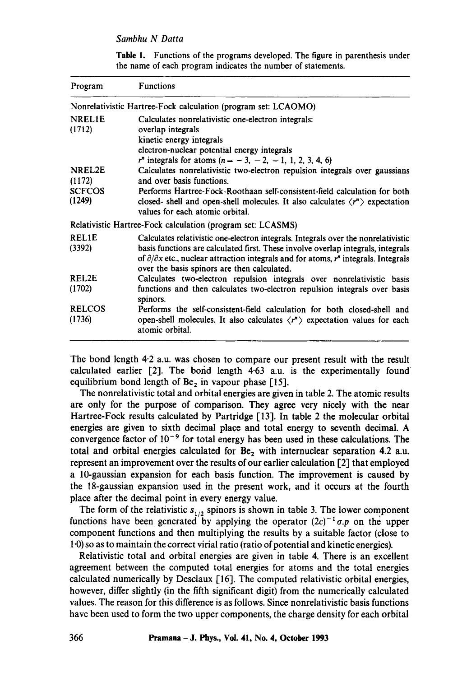#### *Sambhu N Datta*

Table 1. Functions of the programs developed. The figure in parenthesis under the name of each program indicates the number of statements.

| Program       | <b>Functions</b>                                                                                              |  |  |  |  |
|---------------|---------------------------------------------------------------------------------------------------------------|--|--|--|--|
|               | Nonrelativistic Hartree-Fock calculation (program set: LCAOMO)                                                |  |  |  |  |
| NREL1E        | Calculates nonrelativistic one-electron integrals:                                                            |  |  |  |  |
| (1712)        | overlap integrals                                                                                             |  |  |  |  |
|               | kinetic energy integrals                                                                                      |  |  |  |  |
|               | electron-nuclear potential energy integrals                                                                   |  |  |  |  |
|               | $r^n$ integrals for atoms $(n = -3, -2, -1, 1, 2, 3, 4, 6)$                                                   |  |  |  |  |
| NREL2E        | Calculates nonrelativistic two-electron repulsion integrals over gaussians                                    |  |  |  |  |
| (1172)        | and over hasis functions.                                                                                     |  |  |  |  |
| <b>SCFCOS</b> | Performs Hartree-Fock-Roothaan self-consistent-field calculation for both                                     |  |  |  |  |
| (1249)        | closed- shell and open-shell molecules. It also calculates $\langle r^n \rangle$ expectation                  |  |  |  |  |
|               | values for each atomic orbital.                                                                               |  |  |  |  |
|               | Relativistic Hartree-Fock calculation (program set: LCASMS)                                                   |  |  |  |  |
| REL1E         | Calculates relativistic one-electron integrals. Integrals over the nonrelativistic                            |  |  |  |  |
| (3392)        | basis functions are calculated first. These involve overlap integrals, integrals                              |  |  |  |  |
|               | of $\partial/\partial x$ etc., nuclear attraction integrals and for atoms, $r^n$ integrals. Integrals         |  |  |  |  |
|               | over the basis spinors are then calculated.                                                                   |  |  |  |  |
| REL2E         | Calculates two-electron repulsion integrals over nonrelativistic basis                                        |  |  |  |  |
| (1702)        | functions and then calculates two-electron repulsion integrals over basis                                     |  |  |  |  |
|               | spinors.                                                                                                      |  |  |  |  |
| <b>RELCOS</b> | Performs the self-consistent-field calculation for both closed-shell and                                      |  |  |  |  |
| (1736)        | open-shell molecules. It also calculates $\langle r^n \rangle$ expectation values for each<br>atomic orbital. |  |  |  |  |

The bond length 4-2 a.u. was chosen to compare our present result with the result calculated earlier  $[2]$ . The bond length 4.63 a.u. is the experimentally found equilibrium bond length of Be<sub>2</sub> in vapour phase [15].

The nonrelativistic total and orbital energies are given in table 2. The atomic results are only for the purpose of comparison. They agree very nicely with the near Hartree-Fock results calculated by Partridge [13]. In table 2 the molecular orbital energies are given to sixth decimal place and total energy to seventh decimal. A convergence factor of  $10^{-9}$  for total energy has been used in these calculations. The total and orbital energies calculated for  $Be<sub>2</sub>$  with internuclear separation 4.2 a.u. represent an improvement over the results of our earlier calculation [2] that employed a 10-gaussian expansion for each basis function. The improvement is caused by the 18-gaussian expansion used in the present work, and it occurs at the fourth place after the decimal point in every energy value.

The form of the relativistic  $s_{1/2}$  spinors is shown in table 3. The lower component functions have been generated by applying the operator  $(2c)^{-1} \sigma p$  on the upper component functions and then multiplying the results by a suitable factor (close to 1.0) so as to maintain the correct virial ratio (ratio of potential and kinetic energies).

Relativistic total and orbital energies are given in table 4. There is an excellent agreement between the computed total energies for atoms and the total energies calculated numerically by Desclaux [16]. The computed relativistic orbital energies, however, differ slightly (in the fifth significant digit) from the numerically calculated values. The reason for this difference is as follows. Since nonrelativistic basis functions have been used to form the two upper components, the charge density for each orbital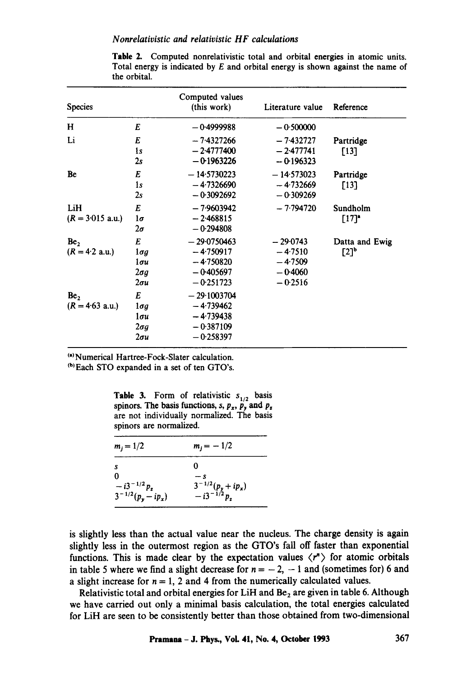| <b>Species</b>                       |                                                                 | Computed values<br>(this work)                                            | Literature value                                               | Reference             |
|--------------------------------------|-----------------------------------------------------------------|---------------------------------------------------------------------------|----------------------------------------------------------------|-----------------------|
| H                                    | E                                                               | $-0.4999988$                                                              | $-0.500000$                                                    |                       |
| Li                                   | E<br>1s<br>2s                                                   | $-7.4327266$<br>$-2.4777400$<br>$-0.1963226$                              | $-7.432727$<br>$-2.477741$<br>$-0.196323$                      | Partridge<br>$[13]$   |
| Be                                   | E<br>1s<br>2s                                                   | $-14.5730223$<br>$-4.7326690$<br>$-0.3092692$                             | $-14.573023$<br>$-4.732669$<br>$-0.309269$                     | Partridge<br>$[13]$   |
| LiH<br>$(R = 3.015$ a.u.)            | E<br>$1\sigma$<br>$2\sigma$                                     | $-7.9603942$<br>$-2.468815$<br>$-0.294808$                                | $-7.794720$                                                    | Sundholm<br>[17]      |
| Be <sub>2</sub><br>$(R = 4.2$ a.u.)  | E<br>$1 \sigma g$<br>$1\sigma u$<br>$2 \sigma q$<br>$2\sigma u$ | $-29.0750463$<br>$-4.750917$<br>$-4.750820$<br>$-0.405697$<br>$-0.251723$ | $-29.0743$<br>$-4.7510$<br>$-4.7509$<br>$-0.4060$<br>$-0.2516$ | Datta and Ewig<br>[2] |
| Be <sub>2</sub><br>$(R = 4.63$ a.u.) | E<br>$1 \sigma g$<br>$1\sigma u$<br>$2 \sigma g$<br>$2\sigma u$ | $-29.1003704$<br>$-4.739462$<br>$-4.739438$<br>$-0.387109$<br>$-0.258397$ |                                                                |                       |

Table 2. Computed nonrelativistic total and orbital energies in atomic units. Total energy is indicated by E and orbital energy is shown against the name of the orbital.

<sup>(a)</sup> Numerical Hartree-Fock-Slater calculation.

~b~Each STO expanded in a set of ten GTO's.

|  |                         | <b>Table 3.</b> Form of relativistic $s_{1/2}$ basis     |  |
|--|-------------------------|----------------------------------------------------------|--|
|  |                         | spinors. The basis functions, s, $p_x$ , $p_y$ and $p_z$ |  |
|  |                         | are not individually normalized. The basis               |  |
|  | spinors are normalized. |                                                          |  |

| $m_j = 1/2$                                                      | $m_j = -1/2$                                 |
|------------------------------------------------------------------|----------------------------------------------|
| S                                                                | 0                                            |
| 0                                                                | — s                                          |
| $-$ i3 <sup>-1/2</sup> $p_z$<br>3 <sup>-1/2</sup> $(p_y - ip_x)$ | $\frac{3^{-1/2}(p_y + ip_x)}{-i3^{-1/2}p_z}$ |

is slightly less than the actual value near the nucleus. The charge density is again slightly less in the outermost region as the GTO's fall off faster than exponential functions. This is made clear by the expectation values  $\langle r^n \rangle$  for atomic orbitals in table 5 where we find a slight decrease for  $n = -2$ ,  $-1$  and (sometimes for) 6 and a slight increase for  $n = 1$ , 2 and 4 from the numerically calculated values.

Relativistic total and orbital energies for LiH and  $Be<sub>2</sub>$  are given in table 6. Although we have carried out only a minimal basis calculation, the total energies calculated for LiH are seen to be consistently better than those obtained from two-dimensional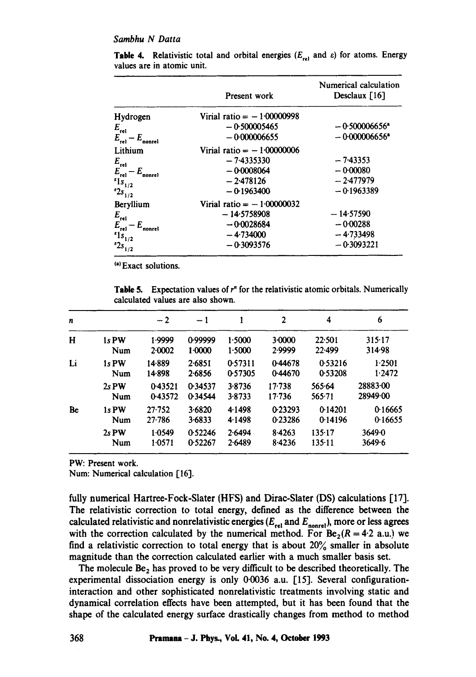#### *Sambhu N Datta*

|                            | Present work                 | Numerical calculation<br>Desclaux $[16]$ |
|----------------------------|------------------------------|------------------------------------------|
| Hydrogen                   | Virial ratio $= -100000998$  |                                          |
| $E_{rel}$                  | $-0.500005465$               | $-0.500006656$ <sup>a</sup>              |
| $E_{rel} - E_{nonrel}$     | $-0.000006655$               | $-0.000006656$ <sup>a</sup>              |
| Lithium                    | Virial ratio = $-1.00000006$ |                                          |
| $E_{rel}$                  | $-7.4335330$                 | $-7.43353$                               |
| $E_{rel} - E_{nonrel}$     | $-0.0008064$                 | $-0.00080$                               |
| $s_{1/2}$                  | $-2.478126$                  | $-2.477979$                              |
| $^{e_{2s}}$ <sub>1/2</sub> | $-0.1963400$                 | $-0.1963389$                             |
| Beryllium                  | Virial ratio = $-1.00000032$ |                                          |
| $E_{rel}$                  | $-14.5758908$                | $-14.57590$                              |
| $E_{rel} - E_{nonrel}$     | $-0.0028684$                 | $-0.00288$                               |
| $s_{1/2}$                  | $-4.734000$                  | $-4.733498$                              |
| $2s_{1/2}$                 | $-0.3093576$                 | $-0.3093221$                             |

**Table 4.** Relativistic total and orbital energies ( $E_{rel}$  and  $\varepsilon$ ) for atoms. Energy values are in atomic unit.

<sup>(a)</sup> Exact solutions.

**Table 5.** Expectation values of  $r<sup>n</sup>$  for the relativistic atomic orbitals. Numerically calculated values are also shown.

| n  |         | $-2$       | $-1$    |         | $\mathbf 2$ | 4          | 6        |
|----|---------|------------|---------|---------|-------------|------------|----------|
| H  | 1s PW   | 1.9999     | 0.99999 | 1.5000  | $3-0000$    | 22.501     | 315.17   |
|    | Num     | 2.0002     | 1.0000  | 1.5000  | 2.9999      | 22.499     | 314.98   |
| Li | 1s PW   | 14-889     | 2.6851  | 0.57311 | 0.44678     | 0.53216    | 1.2501   |
|    | Num     | 14.898     | 2.6856  | 0.57305 | 0.44670     | 0.53208    | 1.2472   |
|    | $2s$ PW | 0.43521    | 0.34537 | 3.8736  | $17 - 738$  | 565.64     | 2888300  |
|    | Num     | 0.43572    | 0.34544 | 3.8733  | $17 - 736$  | $565 - 71$ | 28949.00 |
| Be | 1s PW   | $27 - 752$ | 3.6820  | 4.1498  | 0-23293     | 0.14201    | 0.16665  |
|    | Num     | $27 - 786$ | 3.6833  | 4.1498  | 0.23286     | 0.14196    | 0.16655  |
|    | $2s$ PW | 1.0549     | 0.52246 | 2.6494  | 8.4263      | 135.17     | 36490    |
|    | Num     | 1.0571     | 0.52267 | 2.6489  | 8.4236      | 135.11     | 3649.6   |

**PW:** Present work.

Num: Numerical calculation [16].

fully numerical Hartree-Fock-Slater (HFS) and Dirac-Slater (DS) calculations [17]. The relativistic correction to total energy, defined as the difference between the calculated relativistic and nonrelativistic energies ( $E_{rel}$  and  $E_{nonrel}$ ), more or less agrees with the correction calculated by the numerical method. For  $Be_2(R = 4.2$  a.u.) we find a relativistic correction to total energy that is about  $20\%$  smaller in absolute magnitude than the correction calculated earlier with a much smaller basis set.

The molecule  $Be<sub>2</sub>$  has proved to be very difficult to be described theoretically. The experimental dissociation energy is only 0.0036 a.u. [15]. Several configurationinteraction and other sophisticated nonrelativistic treatments involving static and dynamical correlation effects have been attempted, but it has been found that the shape of the calculated energy surface drastically changes from method to method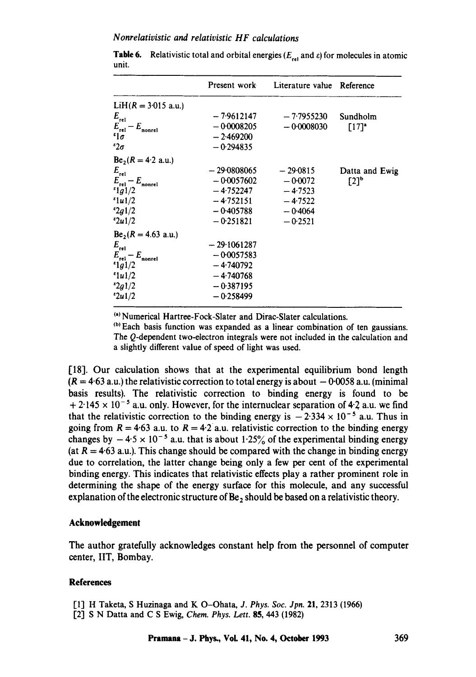## *N onrelativistic and relativistic H F calculations*

|                            | Present work  | Literature value Reference |                     |
|----------------------------|---------------|----------------------------|---------------------|
| $LiH(R = 3.015$ a.u.)      |               |                            |                     |
| $E_{rel}$                  | $-7.9612147$  | $-7.7955230$               | Sundholm            |
| $E_{rel} - E_{nonrel}$     | $-0.0008205$  | $-0.0008030$               | $[17]$ <sup>a</sup> |
| $\mathfrak{c}_{1\sigma}$   | $-2.469200$   |                            |                     |
| $\epsilon_{2\sigma}$       | $-0.294835$   |                            |                     |
| $Be_2(R = 4.2$ a.u.)       |               |                            |                     |
| $E_{rel}$                  | $-29.0808065$ | $-29.0815$                 | Datta and Ewig      |
| $E_{rel} - E_{nonrel}$     | $-0.0057602$  | $-0.0072$                  | $[2]$ <sup>b</sup>  |
| 1g1/2                      | $-4.752247$   | $-4.7523$                  |                     |
| 1u1/2                      | $-4.752151$   | $-4.7522$                  |                     |
| $^{8}2g1/2$                | $-0.405788$   | $-0.4064$                  |                     |
| 2u1/2                      | $-0.251821$   | $-0.2521$                  |                     |
| $Be_2(R = 4.63$ a.u.)      |               |                            |                     |
| $E_{\rm rel}$              | $-29.1061287$ |                            |                     |
| $E_{rel} - E_{nonrel}$     | $-0.0057583$  |                            |                     |
| 1g1/2                      | $-4.740792$   |                            |                     |
| $\frac{\epsilon_{1u1}}{2}$ | $-4.740768$   |                            |                     |
| $^{2}2g1/2$                | $-0.387195$   |                            |                     |
| 2u1/2                      | $-0.258499$   |                            |                     |

**Table 6.** Relativistic total and orbital energies ( $E_{rel}$  and  $\varepsilon$ ) for molecules in atomic unit.

<sup>(a)</sup> Numerical Hartree-Fock-Slater and Dirac-Slater calculations.

<sup>(b)</sup> Each basis function was expanded as a linear combination of ten gaussians. The Q-dependent two-electron integrals were not included in the calculation and a slightly different value of speed of light was used.

[18]. Our calculation shows that at the experimental equilibrium bond length  $(R = 4.63$  a.u.) the relativistic correction to total energy is about  $-0.0058$  a.u. (minimal basis results). The relativistic correction to binding energy is found to be  $+ 2.145 \times 10^{-5}$  a.u. only. However, for the internuclear separation of 4.2 a.u. we find that the relativistic correction to the binding energy is  $-2.334 \times 10^{-5}$  a.u. Thus in going from  $R = 4.63$  a.u. to  $R = 4.2$  a.u. relativistic correction to the binding energy changes by  $-4.5 \times 10^{-5}$  a.u. that is about 1.25% of the experimental binding energy (at  $R = 4.63$  a.u.). This change should be compared with the change in binding energy due to correlation, the latter change being only a few per cent of the experimental binding energy. This indicates that relativistic effects play a rather prominent role in determining the shape of the energy surface for this molecule, and any successful explanation of the electronic structure of  $Be<sub>2</sub>$  should be based on a relativistic theory.

## **Acknowledgement**

The author gratefully acknowledges constant help from the personnel of computer center, IIT, Bombay.

## **References**

- [1] H Taketa, S Huzinaga and K O-Ohata, *J. Phys. Soc. Jpn.* 21, 2313 (1966)
- [2] S N Datta and C S Ewig, *Chem. Phys. Lett.* **85,** 443 (1982)